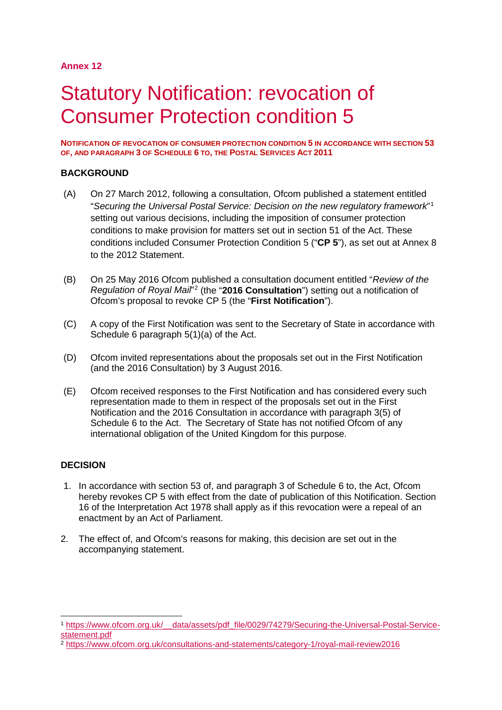# **Annex 12**

# Statutory Notification: revocation of Consumer Protection condition 5

**NOTIFICATION OF REVOCATION OF CONSUMER PROTECTION CONDITION 5 IN ACCORDANCE WITH SECTION 53 OF, AND PARAGRAPH 3 OF SCHEDULE 6 TO, THE POSTAL SERVICES ACT 2011**

# **BACKGROUND**

- (A) On 27 March 2012, following a consultation, Ofcom published a statement entitled "*Securing the Universal Postal Service: Decision on the new regulatory framework*"[1](#page-0-0) setting out various decisions, including the imposition of consumer protection conditions to make provision for matters set out in section 51 of the Act. These conditions included Consumer Protection Condition 5 ("**CP 5**"), as set out at Annex 8 to the 2012 Statement.
- (B) On 25 May 2016 Ofcom published a consultation document entitled "*Review of the Regulation of Royal Mail*"[2](#page-0-1) (the "**2016 Consultation**") setting out a notification of Ofcom's proposal to revoke CP 5 (the "**First Notification**").
- (C) A copy of the First Notification was sent to the Secretary of State in accordance with Schedule 6 paragraph 5(1)(a) of the Act.
- (D) Ofcom invited representations about the proposals set out in the First Notification (and the 2016 Consultation) by 3 August 2016.
- (E) Ofcom received responses to the First Notification and has considered every such representation made to them in respect of the proposals set out in the First Notification and the 2016 Consultation in accordance with paragraph 3(5) of Schedule 6 to the Act. The Secretary of State has not notified Ofcom of any international obligation of the United Kingdom for this purpose.

# **DECISION**

- 1. In accordance with section 53 of, and paragraph 3 of Schedule 6 to, the Act, Ofcom hereby revokes CP 5 with effect from the date of publication of this Notification. Section 16 of the Interpretation Act 1978 shall apply as if this revocation were a repeal of an enactment by an Act of Parliament.
- 2. The effect of, and Ofcom's reasons for making, this decision are set out in the accompanying statement.

<span id="page-0-0"></span> <sup>1</sup> [https://www.ofcom.org.uk/\\_\\_data/assets/pdf\\_file/0029/74279/Securing-the-Universal-Postal-Service](https://www.ofcom.org.uk/__data/assets/pdf_file/0029/74279/Securing-the-Universal-Postal-Service-statement.pdf)[statement.pdf](https://www.ofcom.org.uk/__data/assets/pdf_file/0029/74279/Securing-the-Universal-Postal-Service-statement.pdf)

<span id="page-0-1"></span><sup>2</sup> <https://www.ofcom.org.uk/consultations-and-statements/category-1/royal-mail-review2016>